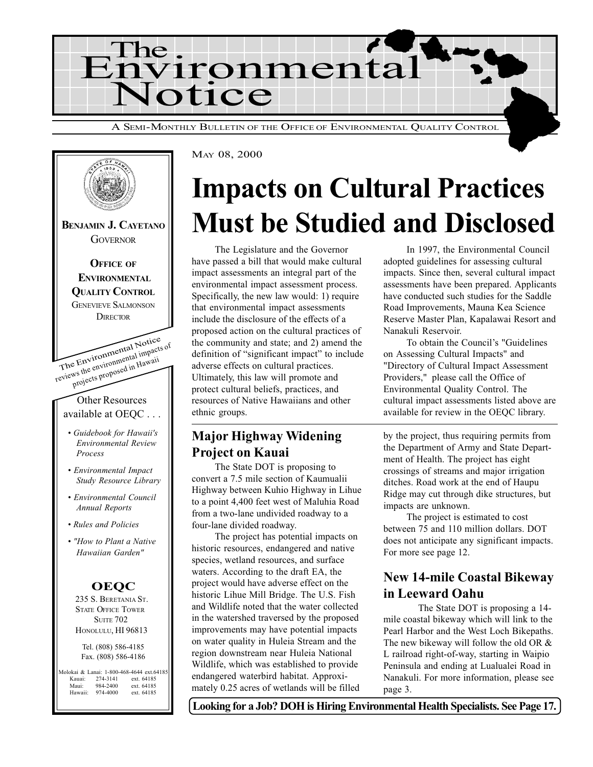



# Impacts on Cultural Practices Must be Studied and Disclosed

The Legislature and the Governor have passed a bill that would make cultural impact assessments an integral part of the environmental impact assessment process. Specifically, the new law would: 1) require that environmental impact assessments include the disclosure of the effects of a proposed action on the cultural practices of the community and state; and 2) amend the definition of "significant impact" to include adverse effects on cultural practices. Ultimately, this law will promote and protect cultural beliefs, practices, and resources of Native Hawaiians and other ethnic groups.

## Major Highway Widening Project on Kauai

The State DOT is proposing to convert a 7.5 mile section of Kaumualii Highway between Kuhio Highway in Lihue to a point 4,400 feet west of Maluhia Road from a two-lane undivided roadway to a four-lane divided roadway.

The project has potential impacts on historic resources, endangered and native species, wetland resources, and surface waters. According to the draft EA, the project would have adverse effect on the historic Lihue Mill Bridge. The U.S. Fish and Wildlife noted that the water collected in the watershed traversed by the proposed improvements may have potential impacts on water quality in Huleia Stream and the region downstream near Huleia National Wildlife, which was established to provide endangered waterbird habitat. Approximately 0.25 acres of wetlands will be filled

In 1997, the Environmental Council adopted guidelines for assessing cultural impacts. Since then, several cultural impact assessments have been prepared. Applicants have conducted such studies for the Saddle Road Improvements, Mauna Kea Science Reserve Master Plan, Kapalawai Resort and Nanakuli Reservoir.

To obtain the Council's "Guidelines" on Assessing Cultural Impacts" and "Directory of Cultural Impact Assessment Providers," please call the Office of Environmental Quality Control. The cultural impact assessments listed above are available for review in the OEQC library.

by the project, thus requiring permits from the Department of Army and State Department of Health. The project has eight crossings of streams and major irrigation ditches. Road work at the end of Haupu Ridge may cut through dike structures, but impacts are unknown.

The project is estimated to cost between 75 and 110 million dollars. DOT does not anticipate any significant impacts. For more see page 12.

## New 14-mile Coastal Bikeway in Leeward Oahu

The State DOT is proposing a 14 mile coastal bikeway which will link to the Pearl Harbor and the West Loch Bikepaths. The new bikeway will follow the old OR & L railroad right-of-way, starting in Waipio Peninsula and ending at Lualualei Road in Nanakuli. For more information, please see page 3.

Looking for a Job? DOH is Hiring Environmental Health Specialists. See Page 17.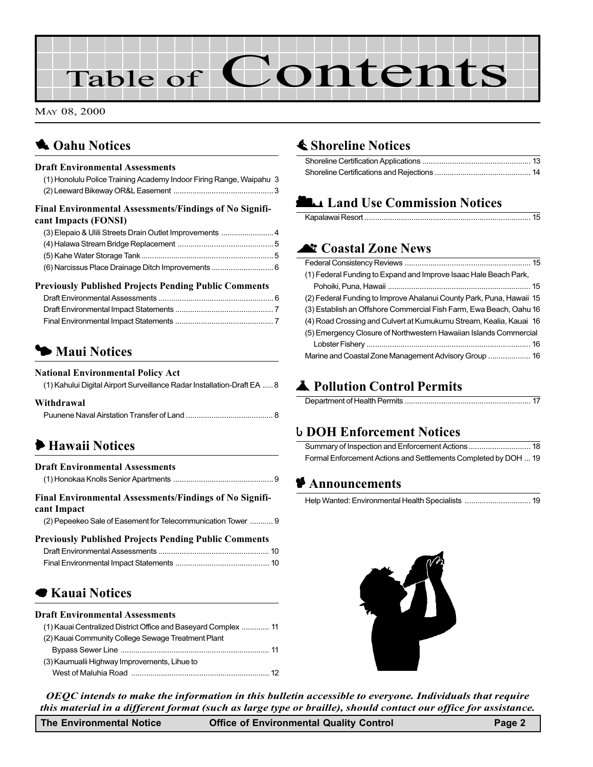# Table of Contents

MAY 08, 2000

# **1** Oahu Notices

#### Draft Environmental Assessments

| (1) Honolulu Police Training Academy Indoor Firing Range, Waipahu 3             |  |
|---------------------------------------------------------------------------------|--|
| Final Environmental Assessments/Findings of No Signifi-<br>cant Impacts (FONSI) |  |

#### Previously Published Projects Pending Public Comments

## **5 Maui Notices**

#### National Environmental Policy Act

| (1) Kahului Digital Airport Surveillance Radar Installation-Draft EA  8 |
|-------------------------------------------------------------------------|
|                                                                         |

#### Withdrawal

## 6 Hawaii Notices

| <b>Draft Environmental Assessments</b>                                 |  |
|------------------------------------------------------------------------|--|
|                                                                        |  |
| Final Environmental Assessments/Findings of No Signifi-<br>cant Impact |  |
| (2) Pepeekeo Sale of Easement for Telecommunication Tower  9           |  |
| <b>Previously Published Projects Pending Public Comments</b>           |  |

| Treviously Tublished Trojects Fending Tublic Comments |  |
|-------------------------------------------------------|--|
|                                                       |  |
|                                                       |  |

## **Exauai Notices**

#### Draft Environmental Assessments

| (1) Kauai Centralized District Office and Baseyard Complex  11 |
|----------------------------------------------------------------|
| (2) Kauai Community College Sewage Treatment Plant             |
|                                                                |
| (3) Kaumualii Highway Improvements, Lihue to                   |
|                                                                |

## **≰ Shoreline Notices**

## **LANDITION COMMISSION Notices**

#### **At Coastal Zone News**

| (1) Federal Funding to Expand and Improve Isaac Hale Beach Park,     |
|----------------------------------------------------------------------|
|                                                                      |
| (2) Federal Funding to Improve Ahalanui County Park, Puna, Hawaii 15 |
| (3) Establish an Offshore Commercial Fish Farm, Ewa Beach, Oahu 16   |
| (4) Road Crossing and Culvert at Kumukumu Stream, Kealia, Kauai 16   |
| (5) Emergency Closure of Northwestern Hawaiian Islands Commercial    |
|                                                                      |
| Marine and Coastal Zone Management Advisory Group  16                |

# V Pollution Control Permits

|--|

#### **b DOH Enforcement Notices**

| Formal Enforcement Actions and Settlements Completed by DOH  19 |  |
|-----------------------------------------------------------------|--|

#### $\blacktriangleright$  Announcements



OEQC intends to make the information in this bulletin accessible to everyone. Individuals that require this material in a different format (such as large type or braille), should contact our office for assistance.

The Environmental Notice **Office of Environmental Quality Control Control Page 2**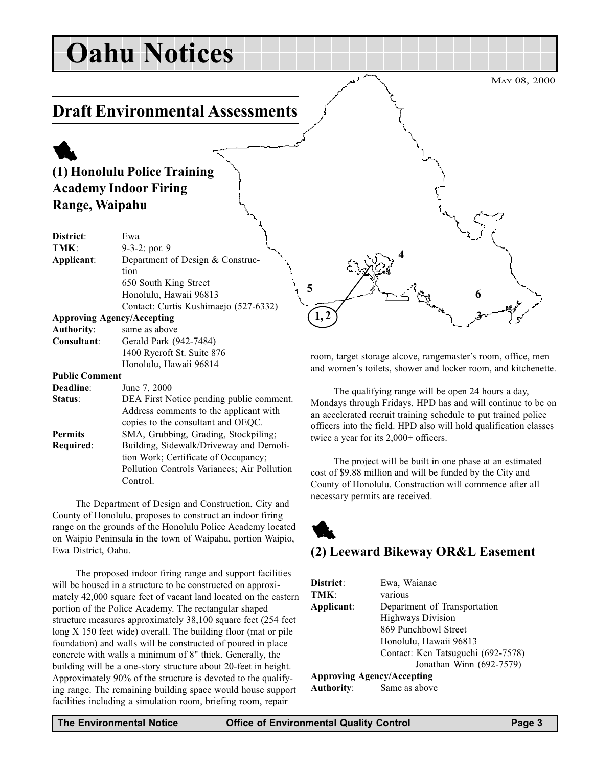# Oahu Notices

## Draft Environmental Assessments

# 1 (1) Honolulu Police Training Academy Indoor Firing Range, Waipahu

| District:             | Ewa                                   |
|-----------------------|---------------------------------------|
| TMK:                  | 9-3-2: por. 9                         |
| Applicant:            | Department of Design & Construc-      |
|                       | tion                                  |
|                       | 650 South King Street                 |
|                       | Honolulu, Hawaii 96813                |
|                       | Contact: Curtis Kushimaejo (527-6332) |
|                       | <b>Approving Agency/Accepting</b>     |
| <b>Authority:</b>     | same as above                         |
| Consultant:           | Gerald Park (942-7484)                |
|                       | 1400 Rycroft St. Suite 876            |
|                       | Honolulu, Hawaii 96814                |
| <b>Public Comment</b> |                                       |
| Deadline:             | June 7, 2000                          |

| Deadhne.       | $J$ une $\ell$ , $2000$                     |
|----------------|---------------------------------------------|
| Status:        | DEA First Notice pending public comment.    |
|                | Address comments to the applicant with      |
|                | copies to the consultant and OEQC.          |
| <b>Permits</b> | SMA, Grubbing, Grading, Stockpiling;        |
| Required:      | Building, Sidewalk/Driveway and Demoli-     |
|                | tion Work; Certificate of Occupancy;        |
|                | Pollution Controls Variances; Air Pollution |
|                | Control.                                    |
|                |                                             |

The Department of Design and Construction, City and County of Honolulu, proposes to construct an indoor firing range on the grounds of the Honolulu Police Academy located on Waipio Peninsula in the town of Waipahu, portion Waipio, Ewa District, Oahu.

The proposed indoor firing range and support facilities will be housed in a structure to be constructed on approximately 42,000 square feet of vacant land located on the eastern portion of the Police Academy. The rectangular shaped structure measures approximately 38,100 square feet (254 feet long X 150 feet wide) overall. The building floor (mat or pile foundation) and walls will be constructed of poured in place concrete with walls a minimum of 8" thick. Generally, the building will be a one-story structure about 20-feet in height. Approximately 90% of the structure is devoted to the qualifying range. The remaining building space would house support facilities including a simulation room, briefing room, repair

room, target storage alcove, rangemaster's room, office, men and women's toilets, shower and locker room, and kitchenette.

 $(1, 2)$   $\qquad \qquad \mathcal{A}$ 

 $5$   $4^{\circ}$  6

4

The qualifying range will be open 24 hours a day, Mondays through Fridays. HPD has and will continue to be on an accelerated recruit training schedule to put trained police officers into the field. HPD also will hold qualification classes twice a year for its 2,000+ officers.

The project will be built in one phase at an estimated cost of \$9.88 million and will be funded by the City and County of Honolulu. Construction will commence after all necessary permits are received.

# 1 (2) Leeward Bikeway OR&L Easement

| District:         | Ewa, Waianae                       |
|-------------------|------------------------------------|
| TMK:              | various                            |
| Applicant:        | Department of Transportation       |
|                   | <b>Highways Division</b>           |
|                   | 869 Punchbowl Street               |
|                   | Honolulu, Hawaii 96813             |
|                   | Contact: Ken Tatsuguchi (692-7578) |
|                   | Jonathan Winn (692-7579)           |
|                   | <b>Approving Agency/Accepting</b>  |
| <b>Authority:</b> | Same as above                      |

MAY 08, 2000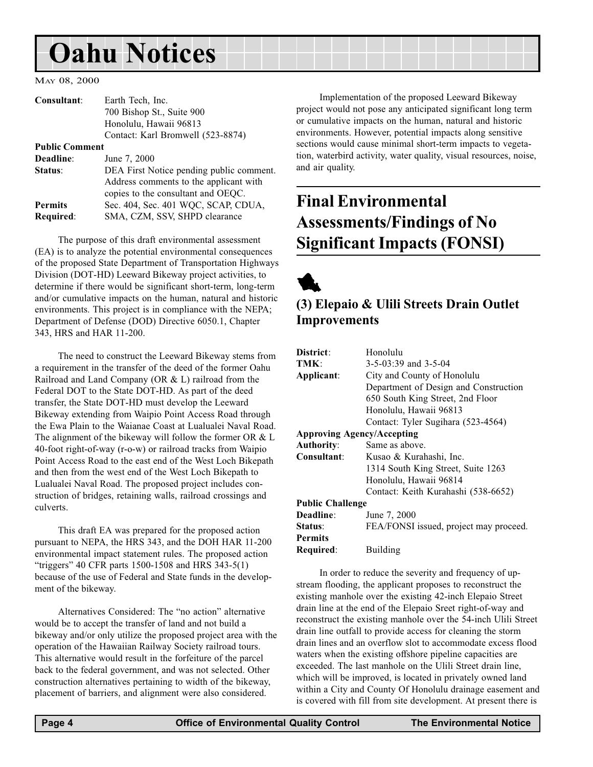# <span id="page-3-0"></span>Oahu Notices

MAY 08, 2000

| Consultant:           | Earth Tech, Inc.                                                                                                         |
|-----------------------|--------------------------------------------------------------------------------------------------------------------------|
|                       | 700 Bishop St., Suite 900                                                                                                |
|                       | Honolulu, Hawaii 96813                                                                                                   |
|                       | Contact: Karl Bromwell (523-8874)                                                                                        |
| <b>Public Comment</b> |                                                                                                                          |
| Deadline:             | June 7, 2000                                                                                                             |
| Status:               | DEA First Notice pending public comment.<br>Address comments to the applicant with<br>copies to the consultant and OEQC. |
| <b>Permits</b>        | Sec. 404, Sec. 401 WQC, SCAP, CDUA,                                                                                      |
| <b>Required:</b>      | SMA, CZM, SSV, SHPD clearance                                                                                            |

The purpose of this draft environmental assessment (EA) is to analyze the potential environmental consequences of the proposed State Department of Transportation Highways Division (DOT-HD) Leeward Bikeway project activities, to determine if there would be significant short-term, long-term and/or cumulative impacts on the human, natural and historic environments. This project is in compliance with the NEPA; Department of Defense (DOD) Directive 6050.1, Chapter 343, HRS and HAR 11-200.

The need to construct the Leeward Bikeway stems from a requirement in the transfer of the deed of the former Oahu Railroad and Land Company (OR & L) railroad from the Federal DOT to the State DOT-HD. As part of the deed transfer, the State DOT-HD must develop the Leeward Bikeway extending from Waipio Point Access Road through the Ewa Plain to the Waianae Coast at Lualualei Naval Road. The alignment of the bikeway will follow the former OR & L 40-foot right-of-way (r-o-w) or railroad tracks from Waipio Point Access Road to the east end of the West Loch Bikepath and then from the west end of the West Loch Bikepath to Lualualei Naval Road. The proposed project includes construction of bridges, retaining walls, railroad crossings and culverts.

This draft EA was prepared for the proposed action pursuant to NEPA, the HRS 343, and the DOH HAR 11-200 environmental impact statement rules. The proposed action "triggers" 40 CFR parts 1500-1508 and HRS 343-5(1) because of the use of Federal and State funds in the development of the bikeway.

Alternatives Considered: The "no action" alternative would be to accept the transfer of land and not build a bikeway and/or only utilize the proposed project area with the operation of the Hawaiian Railway Society railroad tours. This alternative would result in the forfeiture of the parcel back to the federal government, and was not selected. Other construction alternatives pertaining to width of the bikeway, placement of barriers, and alignment were also considered.

Implementation of the proposed Leeward Bikeway project would not pose any anticipated significant long term or cumulative impacts on the human, natural and historic environments. However, potential impacts along sensitive sections would cause minimal short-term impacts to vegetation, waterbird activity, water quality, visual resources, noise, and air quality.

# Final Environmental Assessments/Findings of No Significant Impacts (FONSI)

1

## (3) Elepaio & Ulili Streets Drain Outlet Improvements

| District:                         | Honolulu                               |  |
|-----------------------------------|----------------------------------------|--|
|                                   |                                        |  |
| TMK:                              | $3-5-03:39$ and $3-5-04$               |  |
| Applicant:                        | City and County of Honolulu            |  |
|                                   | Department of Design and Construction  |  |
|                                   | 650 South King Street, 2nd Floor       |  |
|                                   | Honolulu, Hawaii 96813                 |  |
|                                   | Contact: Tyler Sugihara (523-4564)     |  |
| <b>Approving Agency/Accepting</b> |                                        |  |
| <b>Authority:</b>                 | Same as above.                         |  |
| Consultant:                       | Kusao & Kurahashi, Inc.                |  |
|                                   | 1314 South King Street, Suite 1263     |  |
|                                   | Honolulu, Hawaii 96814                 |  |
|                                   | Contact: Keith Kurahashi (538-6652)    |  |
| <b>Public Challenge</b>           |                                        |  |
| Deadline:                         | June 7, 2000                           |  |
| Status:                           | FEA/FONSI issued, project may proceed. |  |
| <b>Permits</b>                    |                                        |  |
| Required:                         | Building                               |  |
|                                   |                                        |  |

In order to reduce the severity and frequency of upstream flooding, the applicant proposes to reconstruct the existing manhole over the existing 42-inch Elepaio Street drain line at the end of the Elepaio Sreet right-of-way and reconstruct the existing manhole over the 54-inch Ulili Street drain line outfall to provide access for cleaning the storm drain lines and an overflow slot to accommodate excess flood waters when the existing offshore pipeline capacities are exceeded. The last manhole on the Ulili Street drain line, which will be improved, is located in privately owned land within a City and County Of Honolulu drainage easement and is covered with fill from site development. At present there is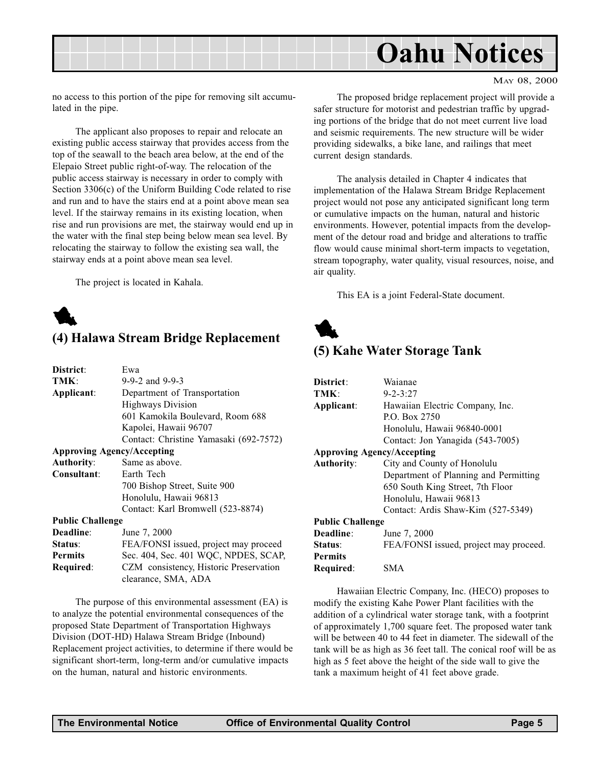<span id="page-4-0"></span>

no access to this portion of the pipe for removing silt accumulated in the pipe.

The applicant also proposes to repair and relocate an existing public access stairway that provides access from the top of the seawall to the beach area below, at the end of the Elepaio Street public right-of-way. The relocation of the public access stairway is necessary in order to comply with Section 3306(c) of the Uniform Building Code related to rise and run and to have the stairs end at a point above mean sea level. If the stairway remains in its existing location, when rise and run provisions are met, the stairway would end up in the water with the final step being below mean sea level. By relocating the stairway to follow the existing sea wall, the stairway ends at a point above mean sea level.

The project is located in Kahala.

# 1 (4) Halawa Stream Bridge Replacement

| District:                         | Ewa                                    |
|-----------------------------------|----------------------------------------|
| TMK:                              | $9-9-2$ and $9-9-3$                    |
| Applicant:                        | Department of Transportation           |
|                                   | <b>Highways Division</b>               |
|                                   | 601 Kamokila Boulevard, Room 688       |
|                                   | Kapolei, Hawaii 96707                  |
|                                   | Contact: Christine Yamasaki (692-7572) |
| <b>Approving Agency/Accepting</b> |                                        |
| <b>Authority:</b>                 | Same as above.                         |
| Consultant:                       | Earth Tech                             |
|                                   | 700 Bishop Street, Suite 900           |
|                                   | Honolulu, Hawaii 96813                 |
|                                   | Contact: Karl Bromwell (523-8874)      |
| <b>Public Challenge</b>           |                                        |
| Deadline:                         | June 7, 2000                           |
| Status:                           | FEA/FONSI issued, project may proceed  |
| <b>Permits</b>                    | Sec. 404, Sec. 401 WQC, NPDES, SCAP,   |
| Required:                         | CZM consistency, Historic Preservation |

clearance, SMA, ADA

The purpose of this environmental assessment (EA) is to analyze the potential environmental consequences of the proposed State Department of Transportation Highways Division (DOT-HD) Halawa Stream Bridge (Inbound) Replacement project activities, to determine if there would be significant short-term, long-term and/or cumulative impacts on the human, natural and historic environments.

The proposed bridge replacement project will provide a safer structure for motorist and pedestrian traffic by upgrading portions of the bridge that do not meet current live load and seismic requirements. The new structure will be wider providing sidewalks, a bike lane, and railings that meet current design standards.

The analysis detailed in Chapter 4 indicates that implementation of the Halawa Stream Bridge Replacement project would not pose any anticipated significant long term or cumulative impacts on the human, natural and historic environments. However, potential impacts from the development of the detour road and bridge and alterations to traffic flow would cause minimal short-term impacts to vegetation, stream topography, water quality, visual resources, noise, and air quality.

This EA is a joint Federal-State document.



## (5) Kahe Water Storage Tank

| District:                         | Waianae                                |  |
|-----------------------------------|----------------------------------------|--|
| TMK:                              | $9 - 2 - 3:27$                         |  |
| Applicant:                        | Hawaiian Electric Company, Inc.        |  |
|                                   | P.O. Box 2750                          |  |
|                                   | Honolulu, Hawaii 96840-0001            |  |
|                                   | Contact: Jon Yanagida (543-7005)       |  |
| <b>Approving Agency/Accepting</b> |                                        |  |
| <b>Authority:</b>                 | City and County of Honolulu            |  |
|                                   | Department of Planning and Permitting  |  |
|                                   | 650 South King Street, 7th Floor       |  |
|                                   | Honolulu, Hawaii 96813                 |  |
|                                   | Contact: Ardis Shaw-Kim (527-5349)     |  |
| <b>Public Challenge</b>           |                                        |  |
| Deadline:                         | June 7, 2000                           |  |
| Status:                           | FEA/FONSI issued, project may proceed. |  |
| <b>Permits</b>                    |                                        |  |
| Required:                         | SMA                                    |  |

Hawaiian Electric Company, Inc. (HECO) proposes to modify the existing Kahe Power Plant facilities with the addition of a cylindrical water storage tank, with a footprint of approximately 1,700 square feet. The proposed water tank will be between 40 to 44 feet in diameter. The sidewall of the tank will be as high as 36 feet tall. The conical roof will be as high as 5 feet above the height of the side wall to give the tank a maximum height of 41 feet above grade.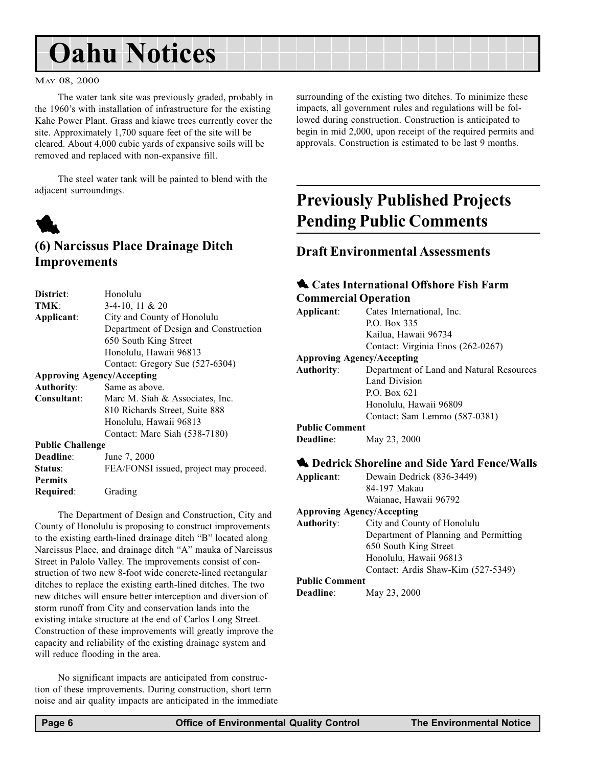# <span id="page-5-0"></span>Oahu Notices

#### MAY 08, 2000

The water tank site was previously graded, probably in the 1960's with installation of infrastructure for the existing Kahe Power Plant. Grass and kiawe trees currently cover the site. Approximately 1,700 square feet of the site will be cleared. About 4,000 cubic yards of expansive soils will be removed and replaced with non-expansive fill.

The steel water tank will be painted to blend with the adjacent surroundings.



## (6) Narcissus Place Drainage Ditch Improvements

| District:                         | Honolulu                               |  |
|-----------------------------------|----------------------------------------|--|
| TMK:                              | $3-4-10$ , 11 & 20                     |  |
| Applicant:                        | City and County of Honolulu            |  |
|                                   | Department of Design and Construction  |  |
|                                   | 650 South King Street                  |  |
|                                   | Honolulu, Hawaii 96813                 |  |
|                                   | Contact: Gregory Sue (527-6304)        |  |
| <b>Approving Agency/Accepting</b> |                                        |  |
| <b>Authority:</b>                 | Same as above.                         |  |
| Consultant:                       | Marc M. Siah & Associates, Inc.        |  |
|                                   | 810 Richards Street, Suite 888         |  |
|                                   | Honolulu, Hawaii 96813                 |  |
|                                   | Contact: Marc Siah (538-7180)          |  |
| <b>Public Challenge</b>           |                                        |  |
| Deadline:                         | June 7, 2000                           |  |
| Status:                           | FEA/FONSI issued, project may proceed. |  |
| <b>Permits</b>                    |                                        |  |
| Required:                         | Grading                                |  |

The Department of Design and Construction, City and County of Honolulu is proposing to construct improvements to the existing earth-lined drainage ditch "B" located along Narcissus Place, and drainage ditch "A" mauka of Narcissus Street in Palolo Valley. The improvements consist of construction of two new 8-foot wide concrete-lined rectangular ditches to replace the existing earth-lined ditches. The two new ditches will ensure better interception and diversion of storm runoff from City and conservation lands into the existing intake structure at the end of Carlos Long Street. Construction of these improvements will greatly improve the capacity and reliability of the existing drainage system and will reduce flooding in the area.

No significant impacts are anticipated from construction of these improvements. During construction, short term noise and air quality impacts are anticipated in the immediate surrounding of the existing two ditches. To minimize these impacts, all government rules and regulations will be followed during construction. Construction is anticipated to begin in mid 2,000, upon receipt of the required permits and approvals. Construction is estimated to be last 9 months.

# Previously Published Projects Pending Public Comments

#### Draft Environmental Assessments

#### **1** Cates International Offshore Fish Farm Commercial Operation

| Applicant:                        | Cates International, Inc.                |
|-----------------------------------|------------------------------------------|
|                                   | P.O. Box 335                             |
|                                   | Kailua, Hawaii 96734                     |
|                                   | Contact: Virginia Enos (262-0267)        |
| <b>Approving Agency/Accepting</b> |                                          |
| <b>Authority:</b>                 | Department of Land and Natural Resources |
|                                   | Land Division                            |
|                                   | P.O. Box $621$                           |
|                                   | Honolulu, Hawaii 96809                   |
|                                   | Contact: Sam Lemmo (587-0381)            |

#### Public Comment

Deadline: May 23, 2000

#### **1** Dedrick Shoreline and Side Yard Fence/Walls

Applicant: Dewain Dedrick (836-3449) 84-197 Makau Waianae, Hawaii 96792

#### Approving Agency/Accepting

| <b>Authority:</b>                                | City and County of Honolulu           |
|--------------------------------------------------|---------------------------------------|
|                                                  | Department of Planning and Permitting |
|                                                  | 650 South King Street                 |
|                                                  | Honolulu, Hawaii 96813                |
|                                                  | Contact: Ardis Shaw-Kim (527-5349)    |
| $\mathbf{D}$ . kl: $\mathbf{C}$ and $\mathbf{A}$ |                                       |

#### Public Comment

Deadline: May 23, 2000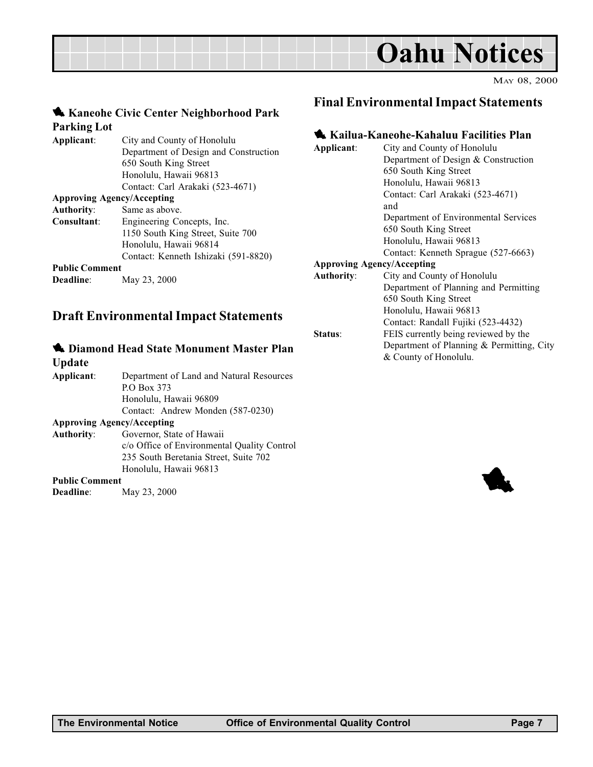

#### 1 Kaneohe Civic Center Neighborhood Park Parking Lot

| City and County of Honolulu           |
|---------------------------------------|
| Department of Design and Construction |
| 650 South King Street                 |
| Honolulu, Hawaii 96813                |
| Contact: Carl Arakaki (523-4671)      |
| <b>Approving Agency/Accepting</b>     |
| Same as above.                        |
| Engineering Concepts, Inc.            |
| 1150 South King Street, Suite 700     |
| Honolulu, Hawaii 96814                |
| Contact: Kenneth Ishizaki (591-8820)  |
| <b>Public Comment</b>                 |
| May 23, 2000                          |
|                                       |

## Draft Environmental Impact Statements

#### **1** Diamond Head State Monument Master Plan

| Update                            |                                             | $\alpha$ County of Honorand. |
|-----------------------------------|---------------------------------------------|------------------------------|
| Applicant:                        | Department of Land and Natural Resources    |                              |
|                                   | P.O Box 373                                 |                              |
|                                   | Honolulu, Hawaii 96809                      |                              |
|                                   | Contact: Andrew Monden (587-0230)           |                              |
| <b>Approving Agency/Accepting</b> |                                             |                              |
| Authority:                        | Governor, State of Hawaii                   |                              |
|                                   | c/o Office of Environmental Quality Control |                              |
|                                   | 235 South Beretania Street, Suite 702       |                              |
|                                   | Honolulu, Hawaii 96813                      |                              |
| <b>Public Comment</b>             |                                             |                              |
| <b>Deadline:</b>                  | May 23, 2000                                |                              |

#### Final Environmental Impact Statements

#### 1 Kailua-Kaneohe-Kahaluu Facilities Plan

| Applicant:        | City and County of Honolulu               |
|-------------------|-------------------------------------------|
|                   | Department of Design & Construction       |
|                   | 650 South King Street                     |
|                   | Honolulu, Hawaii 96813                    |
|                   | Contact: Carl Arakaki (523-4671)          |
|                   | and                                       |
|                   | Department of Environmental Services      |
|                   | 650 South King Street                     |
|                   | Honolulu, Hawaii 96813                    |
|                   | Contact: Kenneth Sprague (527-6663)       |
|                   | <b>Approving Agency/Accepting</b>         |
| <b>Authority:</b> | City and County of Honolulu               |
|                   | Department of Planning and Permitting     |
|                   | 650 South King Street                     |
|                   | Honolulu, Hawaii 96813                    |
|                   | Contact: Randall Fujiki (523-4432)        |
| Status:           | FEIS currently being reviewed by the      |
|                   | Department of Planning & Permitting, City |
|                   | & County of Honolulu.                     |
|                   |                                           |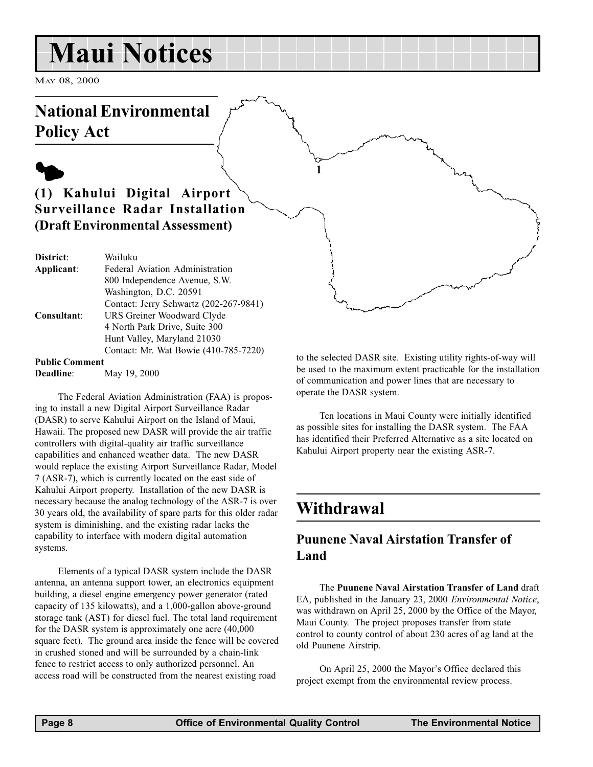# Maui Notices

MAY 08, 2000

# National Environmental Policy Act

# $\blacklozenge$

## (1) Kahului Digital Airport Surveillance Radar Installation (Draft Environmental Assessment)

| District:               | Wailuku                                |
|-------------------------|----------------------------------------|
| Applicant:              | Federal Aviation Administration        |
|                         | 800 Independence Avenue, S.W.          |
|                         | Washington, D.C. 20591                 |
|                         | Contact: Jerry Schwartz (202-267-9841) |
| Consultant:             | URS Greiner Woodward Clyde             |
|                         | 4 North Park Drive, Suite 300          |
|                         | Hunt Valley, Maryland 21030            |
|                         | Contact: Mr. Wat Bowie (410-785-7220)  |
| $D - L$ $L$ $L$ $L$ $L$ |                                        |

#### Public Comment

Deadline: May 19, 2000

The Federal Aviation Administration (FAA) is proposing to install a new Digital Airport Surveillance Radar (DASR) to serve Kahului Airport on the Island of Maui, Hawaii. The proposed new DASR will provide the air traffic controllers with digital-quality air traffic surveillance capabilities and enhanced weather data. The new DASR would replace the existing Airport Surveillance Radar, Model 7 (ASR-7), which is currently located on the east side of Kahului Airport property. Installation of the new DASR is necessary because the analog technology of the ASR-7 is over 30 years old, the availability of spare parts for this older radar system is diminishing, and the existing radar lacks the capability to interface with modern digital automation systems.

Elements of a typical DASR system include the DASR antenna, an antenna support tower, an electronics equipment building, a diesel engine emergency power generator (rated capacity of 135 kilowatts), and a 1,000-gallon above-ground storage tank (AST) for diesel fuel. The total land requirement for the DASR system is approximately one acre (40,000 square feet). The ground area inside the fence will be covered in crushed stoned and will be surrounded by a chain-link fence to restrict access to only authorized personnel. An access road will be constructed from the nearest existing road

to the selected DASR site. Existing utility rights-of-way will be used to the maximum extent practicable for the installation of communication and power lines that are necessary to operate the DASR system.

Ten locations in Maui County were initially identified as possible sites for installing the DASR system. The FAA has identified their Preferred Alternative as a site located on Kahului Airport property near the existing ASR-7.

# Withdrawal

1

#### Puunene Naval Airstation Transfer of Land

The Puunene Naval Airstation Transfer of Land draft EA, published in the January 23, 2000 Environmental Notice, was withdrawn on April 25, 2000 by the Office of the Mayor, Maui County. The project proposes transfer from state control to county control of about 230 acres of ag land at the old Puunene Airstrip.

On April 25, 2000 the Mayor's Office declared this project exempt from the environmental review process.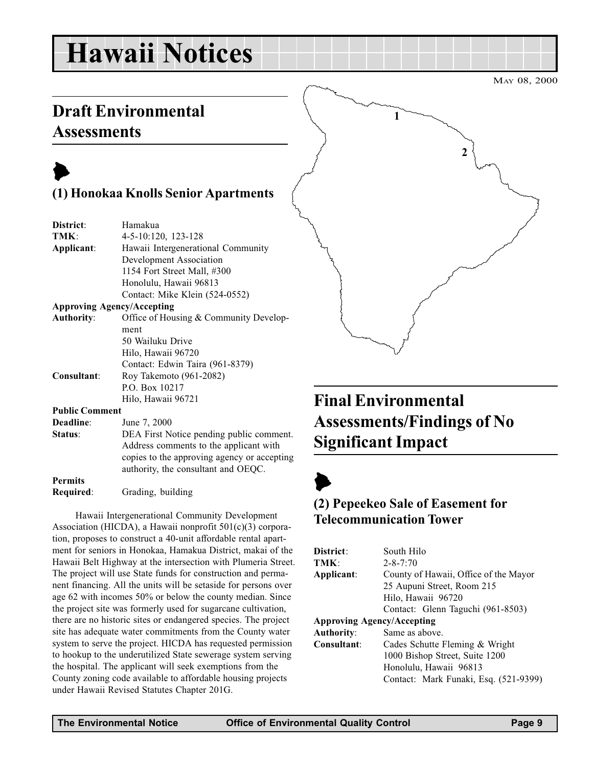# Hawaii Notices

MAY 08, 2000

# Draft Environmental **Assessments**



Permits

## (1) Honokaa Knolls Senior Apartments

| District:             | Hamakua                                     |
|-----------------------|---------------------------------------------|
| TMK:                  | 4-5-10:120, 123-128                         |
| Applicant:            | Hawaii Intergenerational Community          |
|                       | Development Association                     |
|                       | 1154 Fort Street Mall, #300                 |
|                       | Honolulu, Hawaii 96813                      |
|                       | Contact: Mike Klein (524-0552)              |
|                       | <b>Approving Agency/Accepting</b>           |
| <b>Authority:</b>     | Office of Housing & Community Develop-      |
|                       | ment                                        |
|                       | 50 Wailuku Drive                            |
|                       | Hilo, Hawaii 96720                          |
|                       | Contact: Edwin Taira (961-8379)             |
| Consultant:           | Roy Takemoto (961-2082)                     |
|                       | P.O. Box 10217                              |
|                       | Hilo, Hawaii 96721                          |
| <b>Public Comment</b> |                                             |
| Deadline:             | June 7, 2000                                |
| Status:               | DEA First Notice pending public comment.    |
|                       | Address comments to the applicant with      |
|                       | copies to the approving agency or accepting |
|                       | authority, the consultant and OEQC.         |

Hawaii Intergenerational Community Development Association (HICDA), a Hawaii nonprofit 501(c)(3) corporation, proposes to construct a 40-unit affordable rental apartment for seniors in Honokaa, Hamakua District, makai of the Hawaii Belt Highway at the intersection with Plumeria Street. The project will use State funds for construction and permanent financing. All the units will be setaside for persons over age 62 with incomes 50% or below the county median. Since the project site was formerly used for sugarcane cultivation, there are no historic sites or endangered species. The project site has adequate water commitments from the County water system to serve the project. HICDA has requested permission to hookup to the underutilized State sewerage system serving the hospital. The applicant will seek exemptions from the County zoning code available to affordable housing projects under Hawaii Revised Statutes Chapter 201G.



# Final Environmental Assessments/Findings of No Significant Impact

# $\blacktriangleright$

## (2) Pepeekeo Sale of Easement for Telecommunication Tower

| District:         | South Hilo                            |
|-------------------|---------------------------------------|
| TMK:              | $2 - 8 - 7:70$                        |
| Applicant:        | County of Hawaii, Office of the Mayor |
|                   | 25 Aupuni Street, Room 215            |
|                   | Hilo, Hawaii 96720                    |
|                   | Contact: Glenn Taguchi (961-8503)     |
|                   | <b>Approving Agency/Accepting</b>     |
| <b>Authority:</b> | Same as above.                        |
| Consultant:       | Cades Schutte Fleming & Wright        |
|                   | 1000 Bishop Street, Suite 1200        |
|                   | Honolulu, Hawaii 96813                |
|                   | Contact: Mark Funaki, Esq. (521-9399) |
|                   |                                       |

Required: Grading, building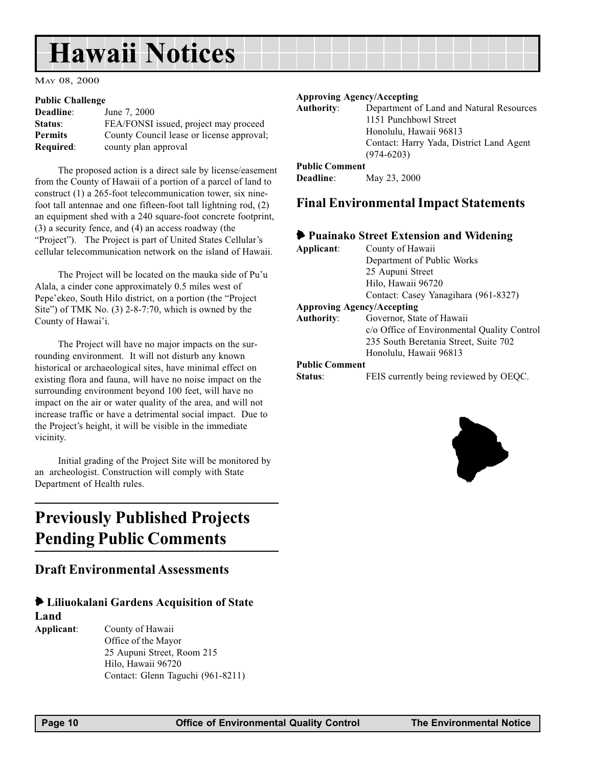# <span id="page-9-0"></span>Hawaii Notices

MAY 08, 2000

#### Public Challenge

| Deadline:        | June 7, 2000                              |
|------------------|-------------------------------------------|
| Status:          | FEA/FONSI issued, project may proceed     |
| <b>Permits</b>   | County Council lease or license approval; |
| <b>Required:</b> | county plan approval                      |

The proposed action is a direct sale by license/easement from the County of Hawaii of a portion of a parcel of land to construct (1) a 265-foot telecommunication tower, six ninefoot tall antennae and one fifteen-foot tall lightning rod, (2) an equipment shed with a 240 square-foot concrete footprint, (3) a security fence, and (4) an access roadway (the "Project"). The Project is part of United States Cellular's cellular telecommunication network on the island of Hawaii.

The Project will be located on the mauka side of Pu'u Alala, a cinder cone approximately 0.5 miles west of Pepe'ekeo, South Hilo district, on a portion (the "Project" Site") of TMK No.  $(3)$  2-8-7:70, which is owned by the County of Hawai'i.

The Project will have no major impacts on the surrounding environment. It will not disturb any known historical or archaeological sites, have minimal effect on existing flora and fauna, will have no noise impact on the surrounding environment beyond 100 feet, will have no impact on the air or water quality of the area, and will not increase traffic or have a detrimental social impact. Due to the Project's height, it will be visible in the immediate vicinity.

Initial grading of the Project Site will be monitored by an archeologist. Construction will comply with State Department of Health rules.

# Previously Published Projects Pending Public Comments

#### Draft Environmental Assessments

#### 6 Liliuokalani Gardens Acquisition of State Land

Applicant: County of Hawaii Office of the Mayor 25 Aupuni Street, Room 215 Hilo, Hawaii 96720 Contact: Glenn Taguchi (961-8211)

#### Approving Agency/Accepting

| <b>Authority:</b>     | Department of Land and Natural Resources |
|-----------------------|------------------------------------------|
|                       | 1151 Punchbowl Street                    |
|                       | Honolulu, Hawaii 96813                   |
|                       | Contact: Harry Yada, District Land Agent |
|                       | $(974 - 6203)$                           |
| <b>Public Comment</b> |                                          |

| Deadline: | May 23, 2000 |  |
|-----------|--------------|--|
|-----------|--------------|--|

#### Final Environmental Impact Statements

#### 6 Puainako Street Extension and Widening

| Applicant:                                       | County of Hawaii                            |
|--------------------------------------------------|---------------------------------------------|
|                                                  | Department of Public Works                  |
|                                                  | 25 Aupuni Street                            |
|                                                  | Hilo, Hawaii 96720                          |
|                                                  | Contact: Casey Yanagihara (961-8327)        |
|                                                  | <b>Approving Agency/Accepting</b>           |
| <b>Authority:</b>                                | Governor, State of Hawaii                   |
|                                                  | c/o Office of Environmental Quality Control |
|                                                  | 235 South Beretania Street, Suite 702       |
|                                                  | Honolulu, Hawaii 96813                      |
| $\mathbf{D}$ --LE: $\mathbf{C}$ and $\mathbf{C}$ |                                             |

#### Public Comment

Status: FEIS currently being reviewed by OEQC.

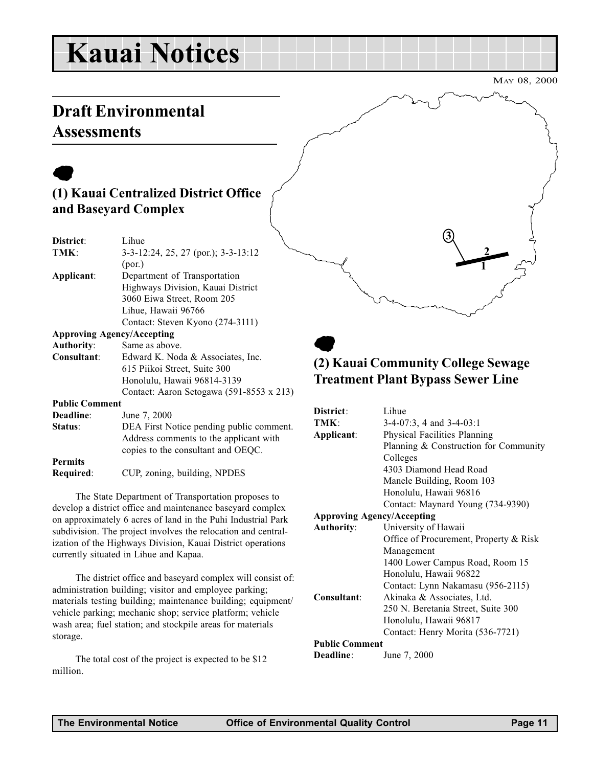# Kauai Notices

MAY 08, 2000

# Draft Environmental **Assessments**

# $\bullet$

## (1) Kauai Centralized District Office and Baseyard Complex

| Lihue                                    |
|------------------------------------------|
| 3-3-12:24, 25, 27 (por.); 3-3-13:12      |
| (por.)                                   |
|                                          |
| Department of Transportation             |
| Highways Division, Kauai District        |
| 3060 Eiwa Street, Room 205               |
| Lihue, Hawaii 96766                      |
| Contact: Steven Kyono (274-3111)         |
| <b>Approving Agency/Accepting</b>        |
| Same as above.                           |
| Edward K. Noda & Associates, Inc.        |
| 615 Piikoi Street, Suite 300             |
| Honolulu, Hawaii 96814-3139              |
| Contact: Aaron Setogawa (591-8553 x 213) |
| <b>Public Comment</b>                    |
| June 7, 2000                             |
| DEA First Notice pending public comment. |
| Address comments to the applicant with   |
| copies to the consultant and OEQC.       |
|                                          |
| CUP, zoning, building, NPDES             |
|                                          |

The State Department of Transportation proposes to develop a district office and maintenance baseyard complex on approximately 6 acres of land in the Puhi Industrial Park subdivision. The project involves the relocation and centralization of the Highways Division, Kauai District operations currently situated in Lihue and Kapaa.

The district office and baseyard complex will consist of: administration building; visitor and employee parking; materials testing building; maintenance building; equipment/ vehicle parking; mechanic shop; service platform; vehicle wash area; fuel station; and stockpile areas for materials storage.

The total cost of the project is expected to be \$12 million.

# 1 2 3

## $\bullet$ (2) Kauai Community College Sewage Treatment Plant Bypass Sewer Line

| District:                         | Lihue                                  |  |
|-----------------------------------|----------------------------------------|--|
| TMK:                              | $3-4-07:3$ , 4 and $3-4-03:1$          |  |
| Applicant:                        | Physical Facilities Planning           |  |
|                                   | Planning & Construction for Community  |  |
|                                   | Colleges                               |  |
|                                   | 4303 Diamond Head Road                 |  |
|                                   | Manele Building, Room 103              |  |
|                                   | Honolulu, Hawaii 96816                 |  |
|                                   | Contact: Maynard Young (734-9390)      |  |
| <b>Approving Agency/Accepting</b> |                                        |  |
| <b>Authority:</b>                 | University of Hawaii                   |  |
|                                   | Office of Procurement, Property & Risk |  |
|                                   | Management                             |  |
|                                   | 1400 Lower Campus Road, Room 15        |  |
|                                   | Honolulu, Hawaii 96822                 |  |
|                                   | Contact: Lynn Nakamasu (956-2115)      |  |
| Consultant:                       | Akinaka & Associates, Ltd.             |  |
|                                   | 250 N. Beretania Street, Suite 300     |  |
|                                   | Honolulu, Hawaii 96817                 |  |
|                                   | Contact: Henry Morita (536-7721)       |  |
| <b>Public Comment</b>             |                                        |  |
| Deadline:                         | June 7, 2000                           |  |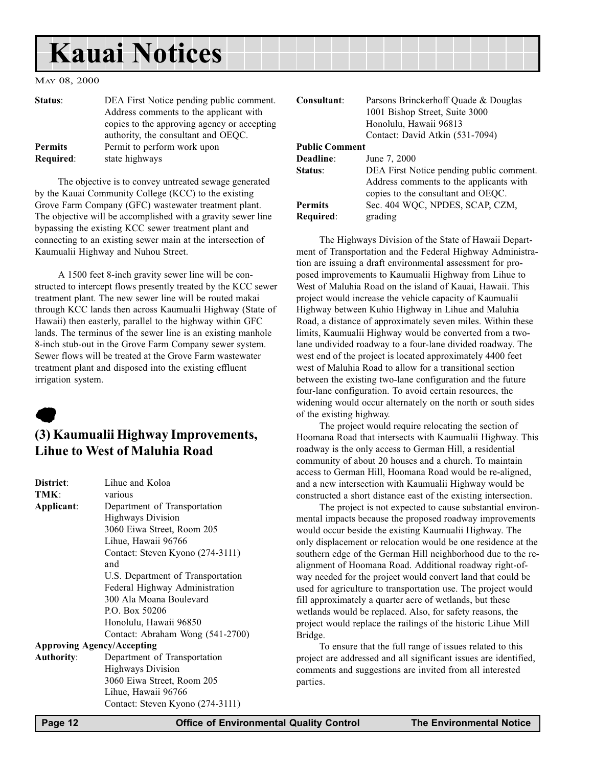# <span id="page-11-0"></span>Kauai Notices

#### MAY 08, 2000

| Status:        | DEA First Notice pending public comment.<br>Address comments to the applicant with |
|----------------|------------------------------------------------------------------------------------|
|                | copies to the approving agency or accepting<br>authority, the consultant and OEQC. |
| <b>Permits</b> | Permit to perform work upon                                                        |
| Required:      | state highways                                                                     |

The objective is to convey untreated sewage generated by the Kauai Community College (KCC) to the existing Grove Farm Company (GFC) wastewater treatment plant. The objective will be accomplished with a gravity sewer line bypassing the existing KCC sewer treatment plant and connecting to an existing sewer main at the intersection of Kaumualii Highway and Nuhou Street.

A 1500 feet 8-inch gravity sewer line will be constructed to intercept flows presently treated by the KCC sewer treatment plant. The new sewer line will be routed makai through KCC lands then across Kaumualii Highway (State of Hawaii) then easterly, parallel to the highway within GFC lands. The terminus of the sewer line is an existing manhole 8-inch stub-out in the Grove Farm Company sewer system. Sewer flows will be treated at the Grove Farm wastewater treatment plant and disposed into the existing effluent irrigation system.

# $\bullet$

#### (3) Kaumualii Highway Improvements, Lihue to West of Maluhia Road

| District:                         | Lihue and Koloa                   |  |  |  |
|-----------------------------------|-----------------------------------|--|--|--|
| TMK:                              | various                           |  |  |  |
| Applicant:                        | Department of Transportation      |  |  |  |
|                                   | <b>Highways Division</b>          |  |  |  |
|                                   | 3060 Eiwa Street, Room 205        |  |  |  |
|                                   | Lihue, Hawaii 96766               |  |  |  |
|                                   | Contact: Steven Kyono (274-3111)  |  |  |  |
|                                   | and                               |  |  |  |
|                                   | U.S. Department of Transportation |  |  |  |
|                                   | Federal Highway Administration    |  |  |  |
|                                   | 300 Ala Moana Boulevard           |  |  |  |
|                                   | P.O. Box 50206                    |  |  |  |
|                                   | Honolulu, Hawaii 96850            |  |  |  |
|                                   | Contact: Abraham Wong (541-2700)  |  |  |  |
| <b>Approving Agency/Accepting</b> |                                   |  |  |  |
| <b>Authority:</b>                 | Department of Transportation      |  |  |  |
|                                   | <b>Highways Division</b>          |  |  |  |
|                                   | 3060 Eiwa Street, Room 205        |  |  |  |
|                                   | Lihue, Hawaii 96766               |  |  |  |
|                                   | Contact: Steven Kyono (274-3111)  |  |  |  |

| Consultant:           | Parsons Brinckerhoff Quade & Douglas     |
|-----------------------|------------------------------------------|
|                       | 1001 Bishop Street, Suite 3000           |
|                       | Honolulu, Hawaii 96813                   |
|                       | Contact: David Atkin (531-7094)          |
| <b>Public Comment</b> |                                          |
| Deadline:             | June 7, 2000                             |
| Status:               | DEA First Notice pending public comment. |
|                       | Address comments to the applicants with  |
|                       | copies to the consultant and OEQC.       |
| <b>Permits</b>        | Sec. 404 WQC, NPDES, SCAP, CZM,          |
| Required:             | grading                                  |

The Highways Division of the State of Hawaii Department of Transportation and the Federal Highway Administration are issuing a draft environmental assessment for proposed improvements to Kaumualii Highway from Lihue to West of Maluhia Road on the island of Kauai, Hawaii. This project would increase the vehicle capacity of Kaumualii Highway between Kuhio Highway in Lihue and Maluhia Road, a distance of approximately seven miles. Within these limits, Kaumualii Highway would be converted from a twolane undivided roadway to a four-lane divided roadway. The west end of the project is located approximately 4400 feet west of Maluhia Road to allow for a transitional section between the existing two-lane configuration and the future four-lane configuration. To avoid certain resources, the widening would occur alternately on the north or south sides of the existing highway.

The project would require relocating the section of Hoomana Road that intersects with Kaumualii Highway. This roadway is the only access to German Hill, a residential community of about 20 houses and a church. To maintain access to German Hill, Hoomana Road would be re-aligned, and a new intersection with Kaumualii Highway would be constructed a short distance east of the existing intersection.

The project is not expected to cause substantial environmental impacts because the proposed roadway improvements would occur beside the existing Kaumualii Highway. The only displacement or relocation would be one residence at the southern edge of the German Hill neighborhood due to the realignment of Hoomana Road. Additional roadway right-ofway needed for the project would convert land that could be used for agriculture to transportation use. The project would fill approximately a quarter acre of wetlands, but these wetlands would be replaced. Also, for safety reasons, the project would replace the railings of the historic Lihue Mill Bridge.

To ensure that the full range of issues related to this project are addressed and all significant issues are identified, comments and suggestions are invited from all interested parties.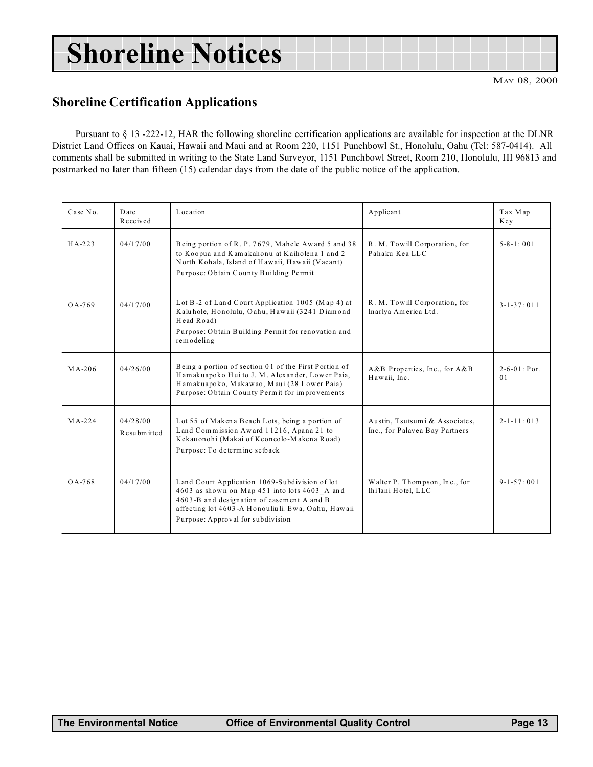# <span id="page-12-0"></span>Shoreline Notices

MAY 08, 2000

#### Shoreline Certification Applications

Pursuant to § 13 -222-12, HAR the following shoreline certification applications are available for inspection at the DLNR District Land Offices on Kauai, Hawaii and Maui and at Room 220, 1151 Punchbowl St., Honolulu, Oahu (Tel: 587-0414). All comments shall be submitted in writing to the State Land Surveyor, 1151 Punchbowl Street, Room 210, Honolulu, HI 96813 and postmarked no later than fifteen (15) calendar days from the date of the public notice of the application.

| Case No. | Date<br>Received           | Location<br>Applicant                                                                                                                                                                                                                    |                                                                  | Tax Map<br>Key                        |
|----------|----------------------------|------------------------------------------------------------------------------------------------------------------------------------------------------------------------------------------------------------------------------------------|------------------------------------------------------------------|---------------------------------------|
| $HA-223$ | 04/17/00                   | Being portion of R. P. 7679, Mahele Award 5 and 38<br>to Koopua and Kamakahonu at Kaiholena 1 and 2<br>North Kohala, Island of Hawaii, Hawaii (Vacant)<br>Purpose: Obtain County Building Permit                                         | R. M. Towill Corporation, for<br>Pahaku Kea LLC                  | $5 - 8 - 1 : 001$                     |
| $0A-769$ | 04/17/00                   | Lot B-2 of Land Court Application 1005 (Map 4) at<br>Kaluhole, Honolulu, Oahu, Hawaii (3241 Diamond<br>Head Road)<br>Purpose: Obtain Building Permit for renovation and<br>remodeling                                                    | R. M. Towill Corporation, for<br>Inarlya America Ltd.            | $3 - 1 - 37:011$                      |
| $MA-206$ | 04/26/00                   | Being a portion of section 01 of the First Portion of<br>Hamakuapoko Huito J. M. Alexander, Lower Paia,<br>Hamakuapoko, Makawao, Maui (28 Lower Paia)<br>Purpose: Obtain County Permit for improvements                                  | A&B Properties, Inc., for A&B<br>Hawaii, Inc.                    | $2 - 6 - 01$ : Por.<br>0 <sub>1</sub> |
| $MA-224$ | 04/28/00<br>R esu bm itted | Lot 55 of Makena Beach Lots, being a portion of<br>Land Commission Award 11216, Apana 21 to<br>Kekau onohi (Makai of Keoneolo-Makena Road)<br>Purpose: To determine setback                                                              | Austin, Tsutsumi & Associates,<br>Inc., for Palavea Bay Partners | $2 - 1 - 11:013$                      |
| OA-768   | 04/17/00                   | Land Court Application 1069-Subdivision of lot<br>4603 as shown on Map 451 into lots 4603 A and<br>4603-B and designation of easement A and B<br>affecting lot 4603-A Honouliuli. Ewa, Oahu, Hawaii<br>Purpose: Approval for subdivision | Walter P. Thompson, Inc., for<br>Ihi'lani Hotel, LLC             | $9 - 1 - 57:001$                      |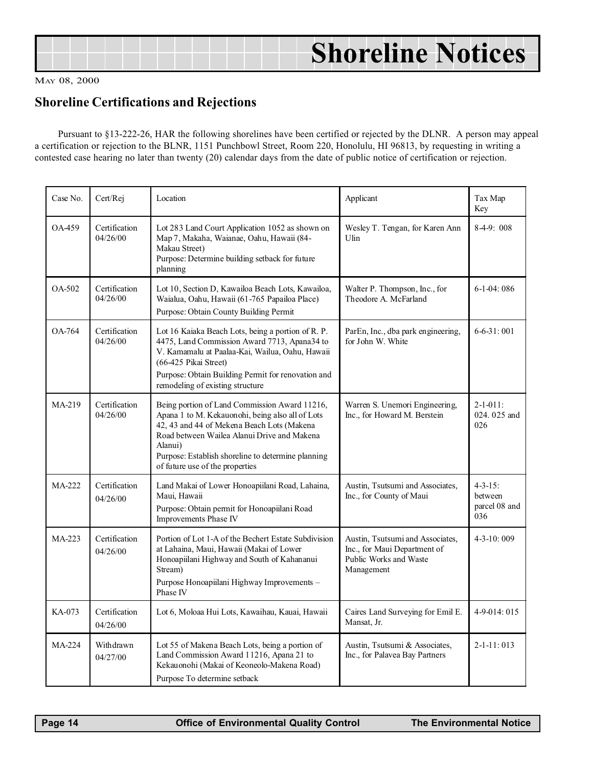<span id="page-13-0"></span>

| <b>Shoreline Notices</b> |
|--------------------------|
|                          |

#### Shoreline Certifications and Rejections

Pursuant to §13-222-26, HAR the following shorelines have been certified or rejected by the DLNR. A person may appeal a certification or rejection to the BLNR, 1151 Punchbowl Street, Room 220, Honolulu, HI 96813, by requesting in writing a contested case hearing no later than twenty (20) calendar days from the date of public notice of certification or rejection.

| Case No. | Cert/Rej                  | Location                                                                                                                                                                                                                                                                                                                          | Applicant                                                        | Tax Map<br>Key                                    |
|----------|---------------------------|-----------------------------------------------------------------------------------------------------------------------------------------------------------------------------------------------------------------------------------------------------------------------------------------------------------------------------------|------------------------------------------------------------------|---------------------------------------------------|
| OA-459   | Certification<br>04/26/00 | Lot 283 Land Court Application 1052 as shown on<br>Wesley T. Tengan, for Karen Ann<br>Map 7, Makaha, Waianae, Oahu, Hawaii (84-<br>Ulin<br>Makau Street)<br>Purpose: Determine building setback for future<br>planning                                                                                                            |                                                                  | $8-4-9:008$                                       |
| $OA-502$ | Certification<br>04/26/00 | Lot 10, Section D, Kawailoa Beach Lots, Kawailoa,<br>Waialua, Oahu, Hawaii (61-765 Papailoa Place)<br>Purpose: Obtain County Building Permit                                                                                                                                                                                      | Walter P. Thompson, Inc., for<br>Theodore A. McFarland           | $6-1-04:086$                                      |
| OA-764   | Certification<br>04/26/00 | Lot 16 Kaiaka Beach Lots, being a portion of R. P.<br>4475, Land Commission Award 7713, Apana34 to<br>V. Kamamalu at Paalaa-Kai, Wailua, Oahu, Hawaii<br>(66-425 Pikai Street)<br>Purpose: Obtain Building Permit for renovation and<br>remodeling of existing structure                                                          | ParEn, Inc., dba park engineering,<br>for John W. White          | $6 - 6 - 31:001$                                  |
| $MA-219$ | Certification<br>04/26/00 | Being portion of Land Commission Award 11216,<br>Apana 1 to M. Kekauonohi, being also all of Lots<br>42, 43 and 44 of Mekena Beach Lots (Makena<br>Road between Wailea Alanui Drive and Makena<br>Alanui)<br>Purpose: Establish shoreline to determine planning<br>of future use of the properties                                | Warren S. Unemori Engineering,<br>Inc., for Howard M. Berstein   | $2 - 1 - 011$ :<br>024.025 and<br>026             |
| MA-222   | Certification<br>04/26/00 | Land Makai of Lower Honoapiilani Road, Lahaina,<br>Maui, Hawaii<br>Purpose: Obtain permit for Honoapiilani Road<br>Improvements Phase IV                                                                                                                                                                                          | Austin, Tsutsumi and Associates,<br>Inc., for County of Maui     | $4 - 3 - 15$ :<br>between<br>parcel 08 and<br>036 |
| MA-223   | Certification<br>04/26/00 | Portion of Lot 1-A of the Bechert Estate Subdivision<br>Austin, Tsutsumi and Associates,<br>at Lahaina, Maui, Hawaii (Makai of Lower<br>Inc., for Maui Department of<br>Public Works and Waste<br>Honoapiilani Highway and South of Kahananui<br>Stream)<br>Management<br>Purpose Honoapiilani Highway Improvements -<br>Phase IV |                                                                  | $4 - 3 - 10:009$                                  |
| KA-073   | Certification<br>04/26/00 | Lot 6, Moloaa Hui Lots, Kawaihau, Kauai, Hawaii                                                                                                                                                                                                                                                                                   | Caires Land Surveying for Emil E.<br>Mansat, Jr.                 | 4-9-014: 015                                      |
| MA-224   | Withdrawn<br>04/27/00     | Lot 55 of Makena Beach Lots, being a portion of<br>Land Commission Award 11216, Apana 21 to<br>Kekauonohi (Makai of Keoneolo-Makena Road)<br>Purpose To determine setback                                                                                                                                                         | Austin, Tsutsumi & Associates,<br>Inc., for Palavea Bay Partners | $2 - 1 - 11:013$                                  |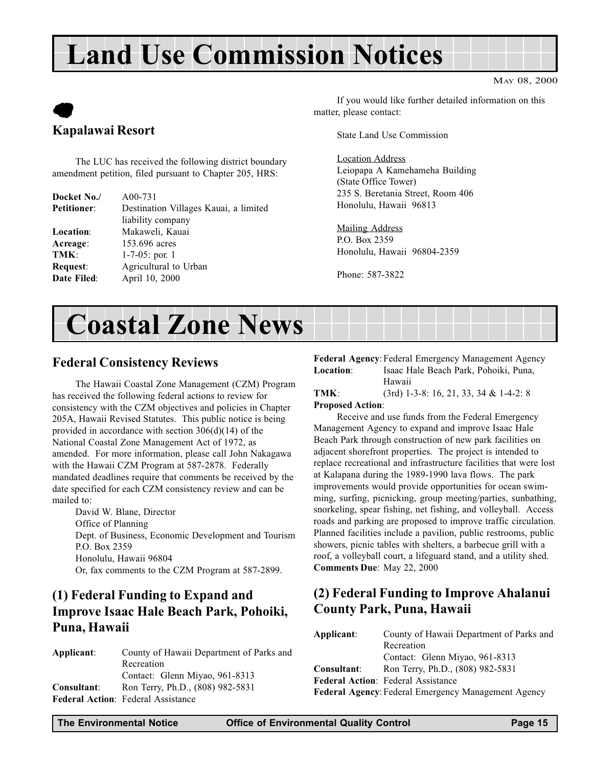# Land Use Commission Notices

# $\bullet$ Kapalawai Resort

The LUC has received the following district boundary amendment petition, filed pursuant to Chapter 205, HRS:

| Docket No./        | $A00-731$                             |
|--------------------|---------------------------------------|
| <b>Petitioner:</b> | Destination Villages Kauai, a limited |
|                    | liability company                     |
| <b>Location:</b>   | Makaweli, Kauai                       |
| Acreage:           | 153.696 acres                         |
| TMK:               | $1-7-05$ : por. 1                     |
| Request:           | Agricultural to Urban                 |
| Date Filed:        | April 10, 2000                        |

MAY 08, 2000

If you would like further detailed information on this matter, please contact:

State Land Use Commission

Location Address Leiopapa A Kamehameha Building (State Office Tower) 235 S. Beretania Street, Room 406 Honolulu, Hawaii 96813

Mailing Address P.O. Box 2359 Honolulu, Hawaii 96804-2359

Phone: 587-3822

# Coastal Zone News

#### Federal Consistency Reviews

The Hawaii Coastal Zone Management (CZM) Program has received the following federal actions to review for consistency with the CZM objectives and policies in Chapter 205A, Hawaii Revised Statutes. This public notice is being provided in accordance with section 306(d)(14) of the National Coastal Zone Management Act of 1972, as amended. For more information, please call John Nakagawa with the Hawaii CZM Program at 587-2878. Federally mandated deadlines require that comments be received by the date specified for each CZM consistency review and can be mailed to:

David W. Blane, Director Office of Planning Dept. of Business, Economic Development and Tourism P.O. Box 2359 Honolulu, Hawaii 96804 Or, fax comments to the CZM Program at 587-2899.

## (1) Federal Funding to Expand and Improve Isaac Hale Beach Park, Pohoiki, Puna, Hawaii

| Applicant:  | County of Hawaii Department of Parks and  |
|-------------|-------------------------------------------|
|             | Recreation                                |
|             | Contact: Glenn Miyao, 961-8313            |
| Consultant: | Ron Terry, Ph.D., (808) 982-5831          |
|             | <b>Federal Action: Federal Assistance</b> |
|             |                                           |

Federal Agency: Federal Emergency Management Agency Location: Isaac Hale Beach Park, Pohoiki, Puna, Hawaii

#### TMK: (3rd) 1-3-8: 16, 21, 33, 34 & 1-4-2: 8 Proposed Action:

Receive and use funds from the Federal Emergency Management Agency to expand and improve Isaac Hale Beach Park through construction of new park facilities on adjacent shorefront properties. The project is intended to replace recreational and infrastructure facilities that were lost at Kalapana during the 1989-1990 lava flows. The park improvements would provide opportunities for ocean swimming, surfing, picnicking, group meeting/parties, sunbathing, snorkeling, spear fishing, net fishing, and volleyball. Access roads and parking are proposed to improve traffic circulation. Planned facilities include a pavilion, public restrooms, public showers, picnic tables with shelters, a barbecue grill with a roof, a volleyball court, a lifeguard stand, and a utility shed. Comments Due: May 22, 2000

## (2) Federal Funding to Improve Ahalanui County Park, Puna, Hawaii

| Applicant:                                                 | County of Hawaii Department of Parks and  |  |  |  |
|------------------------------------------------------------|-------------------------------------------|--|--|--|
|                                                            | Recreation                                |  |  |  |
|                                                            | Contact: Glenn Miyao, 961-8313            |  |  |  |
| Consultant:                                                | Ron Terry, Ph.D., (808) 982-5831          |  |  |  |
|                                                            | <b>Federal Action: Federal Assistance</b> |  |  |  |
| <b>Federal Agency: Federal Emergency Management Agency</b> |                                           |  |  |  |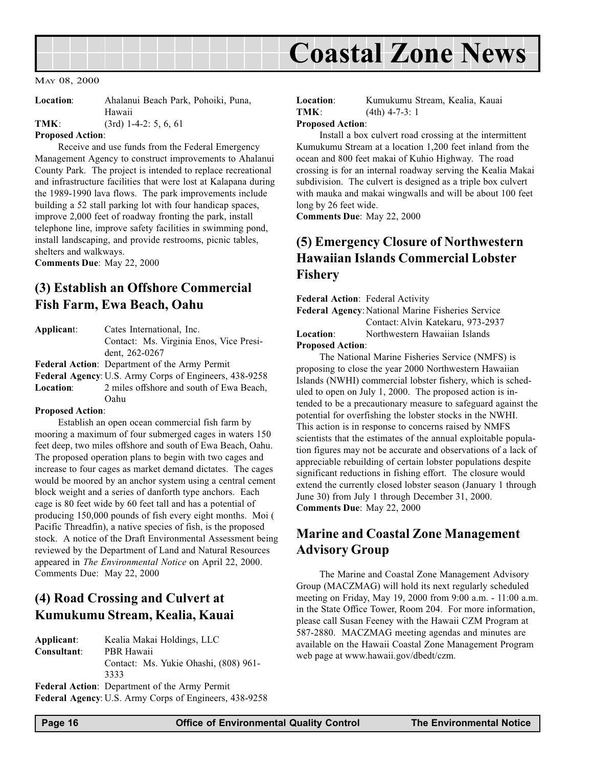<span id="page-15-0"></span>

| <b>Location:</b> | Ahalanui Beach Park, Pohoiki, Puna, |
|------------------|-------------------------------------|
|                  | Hawaii                              |

TMK: (3rd) 1-4-2: 5, 6, 61

#### Proposed Action:

Receive and use funds from the Federal Emergency Management Agency to construct improvements to Ahalanui County Park. The project is intended to replace recreational and infrastructure facilities that were lost at Kalapana during the 1989-1990 lava flows. The park improvements include building a 52 stall parking lot with four handicap spaces, improve 2,000 feet of roadway fronting the park, install telephone line, improve safety facilities in swimming pond, install landscaping, and provide restrooms, picnic tables, shelters and walkways.

Comments Due: May 22, 2000

#### (3) Establish an Offshore Commercial Fish Farm, Ewa Beach, Oahu

| Applicant: | Cates International, Inc.               |
|------------|-----------------------------------------|
|            | Contact: Ms. Virginia Enos, Vice Presi- |
|            | dent. 262-0267                          |
|            |                                         |

Federal Action: Department of the Army Permit

Federal Agency: U.S. Army Corps of Engineers, 438-9258 Location: 2 miles offshore and south of Ewa Beach, Oahu

#### Proposed Action:

Establish an open ocean commercial fish farm by mooring a maximum of four submerged cages in waters 150 feet deep, two miles offshore and south of Ewa Beach, Oahu. The proposed operation plans to begin with two cages and increase to four cages as market demand dictates. The cages would be moored by an anchor system using a central cement block weight and a series of danforth type anchors. Each cage is 80 feet wide by 60 feet tall and has a potential of producing 150,000 pounds of fish every eight months. Moi ( Pacific Threadfin), a native species of fish, is the proposed stock. A notice of the Draft Environmental Assessment being reviewed by the Department of Land and Natural Resources appeared in The Environmental Notice on April 22, 2000. Comments Due: May 22, 2000

## (4) Road Crossing and Culvert at Kumukumu Stream, Kealia, Kauai

Applicant: Kealia Makai Holdings, LLC Consultant: PBR Hawaii Contact: Ms. Yukie Ohashi, (808) 961- 3333 Federal Action: Department of the Army Permit Federal Agency: U.S. Army Corps of Engineers, 438-9258

Location: Kumukumu Stream, Kealia, Kauai TMK: (4th) 4-7-3: 1

#### Proposed Action:

Install a box culvert road crossing at the intermittent Kumukumu Stream at a location 1,200 feet inland from the ocean and 800 feet makai of Kuhio Highway. The road crossing is for an internal roadway serving the Kealia Makai subdivision. The culvert is designed as a triple box culvert with mauka and makai wingwalls and will be about 100 feet long by 26 feet wide.

Comments Due: May 22, 2000

#### (5) Emergency Closure of Northwestern Hawaiian Islands Commercial Lobster Fishery

Federal Action: Federal Activity Federal Agency: National Marine Fisheries Service Contact: Alvin Katekaru, 973-2937 Location: Northwestern Hawaiian Islands Proposed Action:

The National Marine Fisheries Service (NMFS) is proposing to close the year 2000 Northwestern Hawaiian Islands (NWHI) commercial lobster fishery, which is scheduled to open on July 1, 2000. The proposed action is intended to be a precautionary measure to safeguard against the potential for overfishing the lobster stocks in the NWHI. This action is in response to concerns raised by NMFS scientists that the estimates of the annual exploitable population figures may not be accurate and observations of a lack of appreciable rebuilding of certain lobster populations despite significant reductions in fishing effort. The closure would extend the currently closed lobster season (January 1 through June 30) from July 1 through December 31, 2000. Comments Due: May 22, 2000

#### Marine and Coastal Zone Management Advisory Group

The Marine and Coastal Zone Management Advisory Group (MACZMAG) will hold its next regularly scheduled meeting on Friday, May 19, 2000 from 9:00 a.m. - 11:00 a.m. in the State Office Tower, Room 204. For more information, please call Susan Feeney with the Hawaii CZM Program at 587-2880. MACZMAG meeting agendas and minutes are available on the Hawaii Coastal Zone Management Program web page at www.hawaii.gov/dbedt/czm.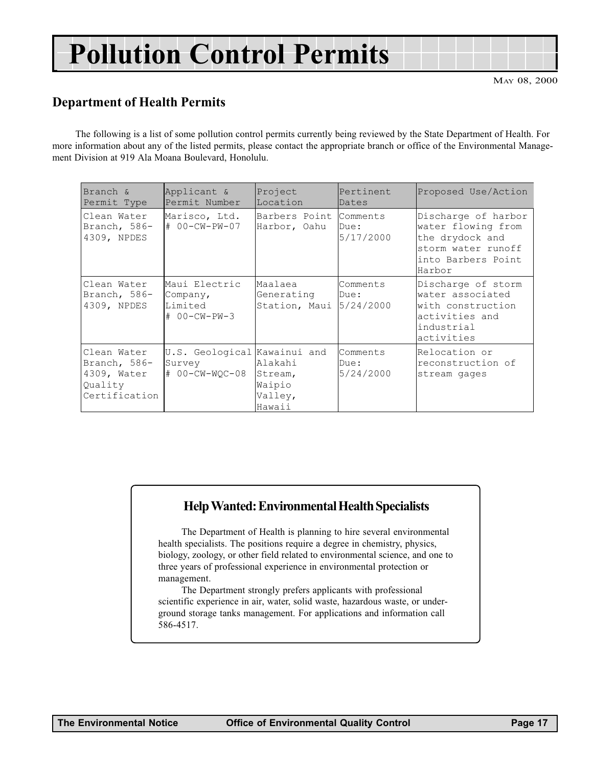# <span id="page-16-0"></span>Pollution Control Permits

#### Department of Health Permits

The following is a list of some pollution control permits currently being reviewed by the State Department of Health. For more information about any of the listed permits, please contact the appropriate branch or office of the Environmental Management Division at 919 Ala Moana Boulevard, Honolulu.

| Branch &<br>Permit Type                                                | Applicant &<br>Permit Number                             | Project<br>Location                               | Pertinent<br>Dates            | Proposed Use/Action                                                                                                |
|------------------------------------------------------------------------|----------------------------------------------------------|---------------------------------------------------|-------------------------------|--------------------------------------------------------------------------------------------------------------------|
| Clean Water<br>Branch, 586-<br>4309, NPDES                             | Marisco, Ltd.<br># 00-CW-PW-07                           | Barbers Point<br>Harbor, Oahu                     | Comments<br>Due:<br>5/17/2000 | Discharge of harbor<br>water flowing from<br>the drydock and<br>storm water runoff<br>into Barbers Point<br>Harbor |
| Clean Water<br>Branch, 586-<br>4309, NPDES                             | Maui Electric<br>Company,<br>Limited<br># 00-CW-PW-3     | Maalaea<br>Generating<br>Station, Maui            | Comments<br>Due:<br>5/24/2000 | Discharge of storm<br>water associated<br>with construction<br>activities and<br>industrial<br>activities          |
| Clean Water<br>Branch, 586-<br>4309, Water<br>Quality<br>Certification | U.S. Geological Kawainui and<br>Survey<br># 00-CW-WOC-08 | Alakahi<br>Stream,<br>Waipio<br>Valley,<br>Hawaii | Comments<br>Due:<br>5/24/2000 | Relocation or<br>reconstruction of<br>stream gages                                                                 |

#### Help Wanted: Environmental Health Specialists

The Department of Health is planning to hire several environmental health specialists. The positions require a degree in chemistry, physics, biology, zoology, or other field related to environmental science, and one to three years of professional experience in environmental protection or management.

The Department strongly prefers applicants with professional scientific experience in air, water, solid waste, hazardous waste, or underground storage tanks management. For applications and information call 586-4517.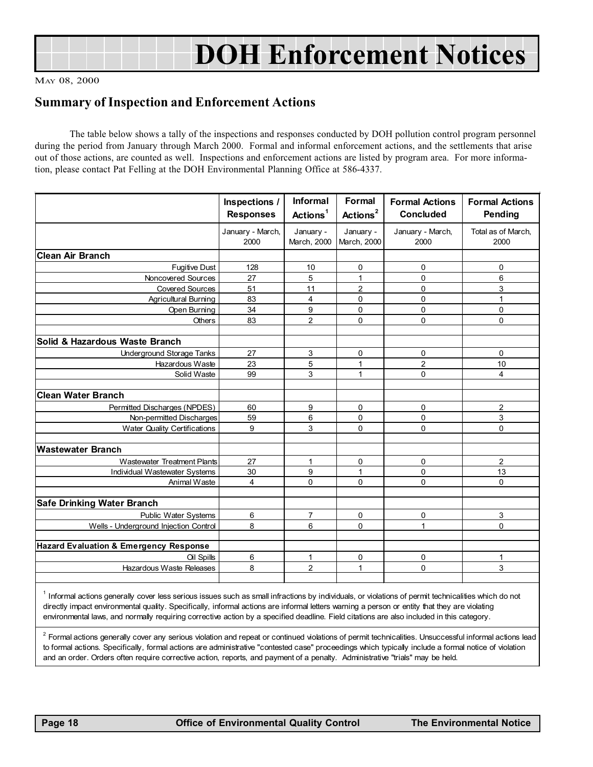<span id="page-17-0"></span>

#### Summary of Inspection and Enforcement Actions

The table below shows a tally of the inspections and responses conducted by DOH pollution control program personnel during the period from January through March 2000. Formal and informal enforcement actions, and the settlements that arise out of those actions, are counted as well. Inspections and enforcement actions are listed by program area. For more information, please contact Pat Felling at the DOH Environmental Planning Office at 586-4337.

|                                                   | Inspections /<br><b>Responses</b> | Informal<br>Actions <sup>1</sup> | <b>Formal</b><br>Actions <sup>2</sup> | <b>Formal Actions</b><br><b>Concluded</b> | <b>Formal Actions</b><br>Pending |
|---------------------------------------------------|-----------------------------------|----------------------------------|---------------------------------------|-------------------------------------------|----------------------------------|
|                                                   | January - March,<br>2000          | January -<br>March, 2000         | January -<br>March, 2000              | January - March,<br>2000                  | Total as of March,<br>2000       |
| Clean Air Branch                                  |                                   |                                  |                                       |                                           |                                  |
| <b>Fugitive Dust</b>                              | 128                               | 10                               | 0                                     | 0                                         | 0                                |
| Noncovered Sources                                | 27                                | 5                                | 1                                     | $\Omega$                                  | 6                                |
| <b>Covered Sources</b>                            | 51                                | 11                               | 2                                     | $\Omega$                                  | 3                                |
| Agricultural Burning                              | 83                                | 4                                | 0                                     | 0                                         | 1                                |
| <b>Open Burning</b>                               | 34                                | 9                                | 0                                     | $\mathbf 0$                               | 0                                |
| Others                                            | 83                                | $\overline{2}$                   | 0                                     | 0                                         | $\mathbf 0$                      |
| <b>Solid &amp; Hazardous Waste Branch</b>         |                                   |                                  |                                       |                                           |                                  |
| <b>Underground Storage Tanks</b>                  | 27                                | 3                                | 0                                     | 0                                         | $\mathbf 0$                      |
| Hazardous Waste                                   | 23                                | 5                                | 1                                     | $\overline{2}$                            | 10                               |
| Solid Waste                                       | 99                                | 3                                | $\mathbf{1}$                          | $\mathbf 0$                               | 4                                |
| <b>Clean Water Branch</b>                         |                                   |                                  |                                       |                                           |                                  |
| Permitted Discharges (NPDES)                      | 60                                | 9                                | 0                                     | 0                                         | $\overline{2}$                   |
| Non-permitted Discharges                          | 59                                | 6                                | 0                                     | 0                                         | 3                                |
| <b>Water Quality Certifications</b>               | 9                                 | 3                                | 0                                     | 0                                         | $\mathbf 0$                      |
| lWastewater Branch                                |                                   |                                  |                                       |                                           |                                  |
| Wastewater Treatment Plants                       | 27                                | 1                                | 0                                     | 0                                         | $\overline{2}$                   |
| Individual Wastewater Systems                     | 30                                | 9                                | 1                                     | $\mathbf 0$                               | 13                               |
| Animal Waste                                      | 4                                 | $\Omega$                         | 0                                     | $\mathbf 0$                               | $\Omega$                         |
|                                                   |                                   |                                  |                                       |                                           |                                  |
| <b>Safe Drinking Water Branch</b>                 |                                   |                                  |                                       |                                           |                                  |
| <b>Public Water Systems</b>                       | 6                                 | $\overline{7}$                   | 0                                     | $\Omega$                                  | 3                                |
| Wells - Underground Injection Control             | 8                                 | 6                                | 0                                     | 1                                         | 0                                |
|                                                   |                                   |                                  |                                       |                                           |                                  |
| <b>Hazard Evaluation &amp; Emergency Response</b> |                                   |                                  |                                       |                                           |                                  |
| <b>Oil Spills</b>                                 | 6                                 | $\mathbf{1}$                     | 0                                     | 0                                         | $\mathbf{1}$                     |
| Hazardous Waste Releases                          | 8                                 | 2                                | 1                                     | $\mathbf 0$                               | 3                                |
|                                                   |                                   |                                  |                                       |                                           |                                  |

<sup>1</sup> Informal actions generally cover less serious issues such as small infractions by individuals, or violations of permit technicalities which do not directly impact environmental quality. Specifically, informal actions are informal letters warning a person or entity that they are violating environmental laws, and normally requiring corrective action by a specified deadline. Field citations are also included in this category.

 $^2$  Formal actions generally cover any serious violation and repeat or continued violations of permit technicalities. Unsuccessful informal actions lead to formal actions. Specifically, formal actions are administrative "contested case" proceedings which typically include a formal notice of violation and an order. Orders often require corrective action, reports, and payment of a penalty. Administrative "trials" may be held.